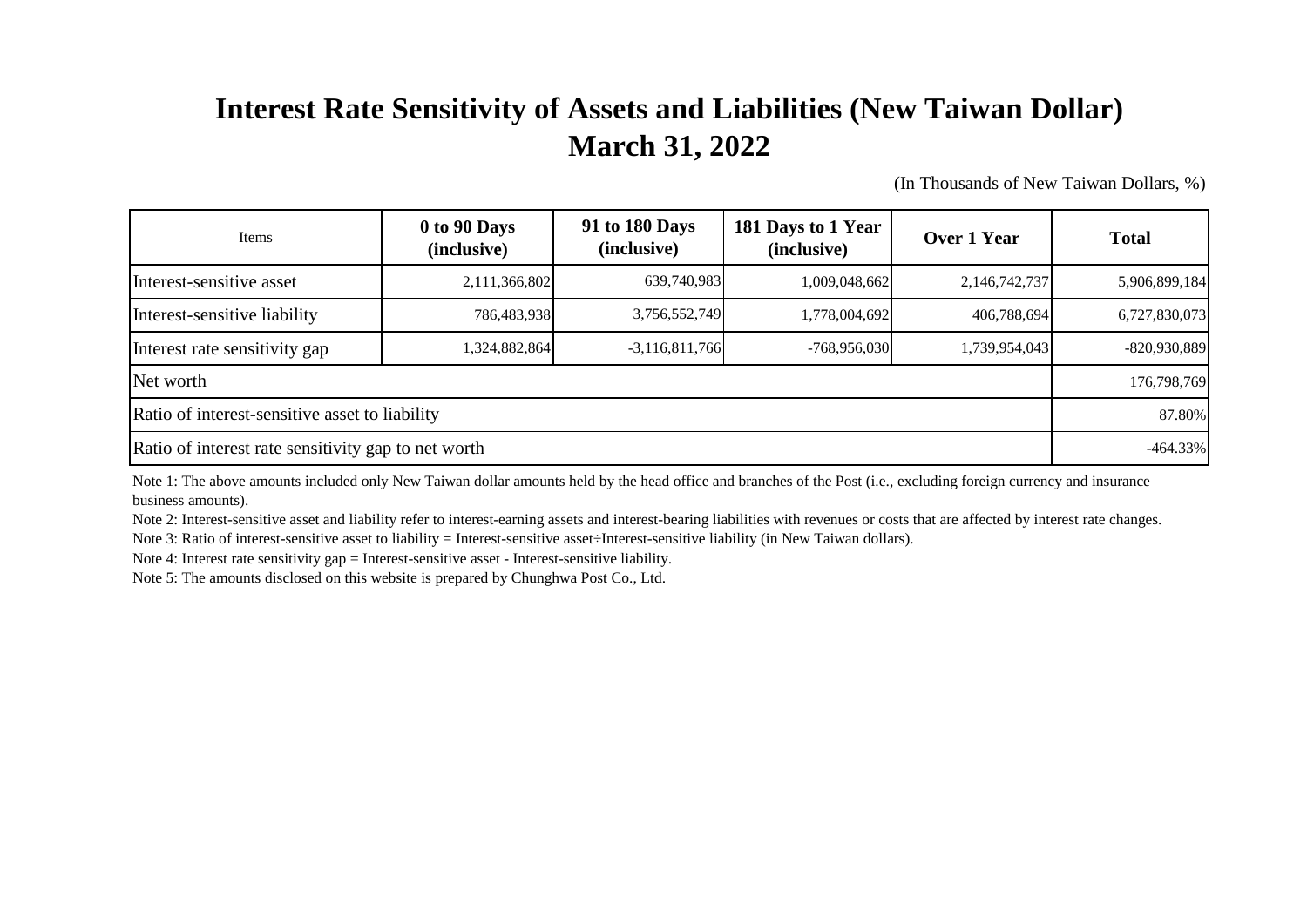## **Interest Rate Sensitivity of Assets and Liabilities (New Taiwan Dollar) March 31, 2022**

(In Thousands of New Taiwan Dollars, %)

| Items                                               | 0 to 90 Days<br>(inclusive) | 91 to 180 Days<br>(inclusive) | 181 Days to 1 Year<br>(inclusive) | Over 1 Year   | <b>Total</b>  |
|-----------------------------------------------------|-----------------------------|-------------------------------|-----------------------------------|---------------|---------------|
| Interest-sensitive asset                            | 2,111,366,802               | 639,740,983                   | 1,009,048,662                     | 2,146,742,737 | 5,906,899,184 |
| Interest-sensitive liability                        | 786,483,938                 | 3,756,552,749                 | 1,778,004,692                     | 406.788.694   | 6,727,830,073 |
| Interest rate sensitivity gap                       | 1,324,882,864               | $-3,116,811,766$              | $-768,956,030$                    | 1,739,954,043 | -820,930,889  |
| Net worth                                           |                             |                               |                                   |               |               |
| Ratio of interest-sensitive asset to liability      |                             |                               |                                   |               |               |
| Ratio of interest rate sensitivity gap to net worth |                             |                               |                                   |               |               |

Note 1: The above amounts included only New Taiwan dollar amounts held by the head office and branches of the Post (i.e., excluding foreign currency and insurance business amounts).

Note 2: Interest-sensitive asset and liability refer to interest-earning assets and interest-bearing liabilities with revenues or costs that are affected by interest rate changes.

Note 3: Ratio of interest-sensitive asset to liability = Interest-sensitive asset÷Interest-sensitive liability (in New Taiwan dollars).

Note 4: Interest rate sensitivity gap = Interest-sensitive asset - Interest-sensitive liability.

Note 5: The amounts disclosed on this website is prepared by Chunghwa Post Co., Ltd.